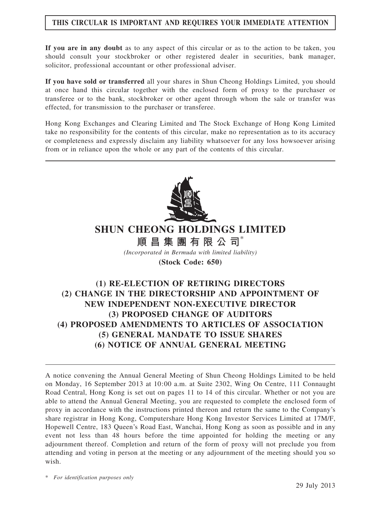## THIS CIRCULAR IS IMPORTANT AND REQUIRES YOUR IMMEDIATE ATTENTION

If you are in any doubt as to any aspect of this circular or as to the action to be taken, you should consult your stockbroker or other registered dealer in securities, bank manager, solicitor, professional accountant or other professional adviser.

If you have sold or transferred all your shares in Shun Cheong Holdings Limited, you should at once hand this circular together with the enclosed form of proxy to the purchaser or transferee or to the bank, stockbroker or other agent through whom the sale or transfer was effected, for transmission to the purchaser or transferee.

Hong Kong Exchanges and Clearing Limited and The Stock Exchange of Hong Kong Limited take no responsibility for the contents of this circular, make no representation as to its accuracy or completeness and expressly disclaim any liability whatsoever for any loss howsoever arising from or in reliance upon the whole or any part of the contents of this circular.



# SHUN CHEONG HOLDINGS LIMITED

順 昌 集 團 有 限 公 司 $*$ (Incorporated in Bermuda with limited liability) (Stock Code: 650)

## (1) RE-ELECTION OF RETIRING DIRECTORS (2) CHANGE IN THE DIRECTORSHIP AND APPOINTMENT OF NEW INDEPENDENT NON-EXECUTIVE DIRECTOR (3) PROPOSED CHANGE OF AUDITORS (4) PROPOSED AMENDMENTS TO ARTICLES OF ASSOCIATION (5) GENERAL MANDATE TO ISSUE SHARES (6) NOTICE OF ANNUAL GENERAL MEETING

A notice convening the Annual General Meeting of Shun Cheong Holdings Limited to be held on Monday, 16 September 2013 at 10:00 a.m. at Suite 2302, Wing On Centre, 111 Connaught Road Central, Hong Kong is set out on pages 11 to 14 of this circular. Whether or not you are able to attend the Annual General Meeting, you are requested to complete the enclosed form of proxy in accordance with the instructions printed thereon and return the same to the Company's share registrar in Hong Kong, Computershare Hong Kong Investor Services Limited at 17M/F, Hopewell Centre, 183 Queen's Road East, Wanchai, Hong Kong as soon as possible and in any event not less than 48 hours before the time appointed for holding the meeting or any adjournment thereof. Completion and return of the form of proxy will not preclude you from attending and voting in person at the meeting or any adjournment of the meeting should you so wish.

\* For identification purposes only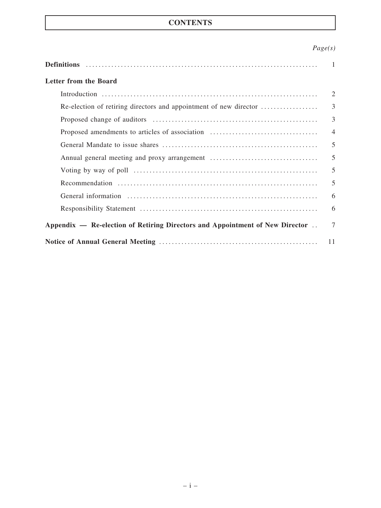## **CONTENTS**

## Page(s)

|                                                                              | $\sim$ 1       |
|------------------------------------------------------------------------------|----------------|
| Letter from the Board                                                        |                |
|                                                                              | $\overline{2}$ |
| Re-election of retiring directors and appointment of new director            | $\overline{3}$ |
|                                                                              | $\overline{3}$ |
| Proposed amendments to articles of association                               | $\overline{4}$ |
|                                                                              | 5              |
|                                                                              | 5              |
|                                                                              | 5              |
|                                                                              | 5              |
|                                                                              | 6              |
|                                                                              | 6              |
| Appendix — Re-election of Retiring Directors and Appointment of New Director | $\tau$         |
|                                                                              | 11             |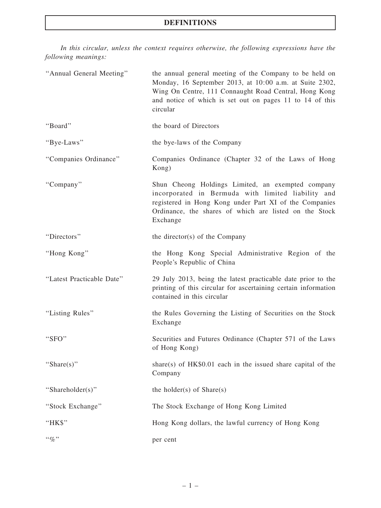## DEFINITIONS

In this circular, unless the context requires otherwise, the following expressions have the following meanings:

| "Annual General Meeting"  | the annual general meeting of the Company to be held on<br>Monday, 16 September 2013, at 10:00 a.m. at Suite 2302,<br>Wing On Centre, 111 Connaught Road Central, Hong Kong<br>and notice of which is set out on pages 11 to 14 of this<br>circular |
|---------------------------|-----------------------------------------------------------------------------------------------------------------------------------------------------------------------------------------------------------------------------------------------------|
| "Board"                   | the board of Directors                                                                                                                                                                                                                              |
| "Bye-Laws"                | the bye-laws of the Company                                                                                                                                                                                                                         |
| "Companies Ordinance"     | Companies Ordinance (Chapter 32 of the Laws of Hong<br>Kong)                                                                                                                                                                                        |
| "Company"                 | Shun Cheong Holdings Limited, an exempted company<br>incorporated in Bermuda with limited liability and<br>registered in Hong Kong under Part XI of the Companies<br>Ordinance, the shares of which are listed on the Stock<br>Exchange             |
| "Directors"               | the director(s) of the Company                                                                                                                                                                                                                      |
| "Hong Kong"               | the Hong Kong Special Administrative Region of the<br>People's Republic of China                                                                                                                                                                    |
| "Latest Practicable Date" | 29 July 2013, being the latest practicable date prior to the<br>printing of this circular for ascertaining certain information<br>contained in this circular                                                                                        |
| "Listing Rules"           | the Rules Governing the Listing of Securities on the Stock<br>Exchange                                                                                                                                                                              |
| "SFO"                     | Securities and Futures Ordinance (Chapter 571 of the Laws<br>of Hong Kong)                                                                                                                                                                          |
| "Share $(s)$ "            | share(s) of $HK$0.01$ each in the issued share capital of the<br>Company                                                                                                                                                                            |
| "Shareholder(s)"          | the holder(s) of $Share(s)$                                                                                                                                                                                                                         |
| "Stock Exchange"          | The Stock Exchange of Hong Kong Limited                                                                                                                                                                                                             |
| "HK\$"                    | Hong Kong dollars, the lawful currency of Hong Kong                                                                                                                                                                                                 |
| $``\%"$                   | per cent                                                                                                                                                                                                                                            |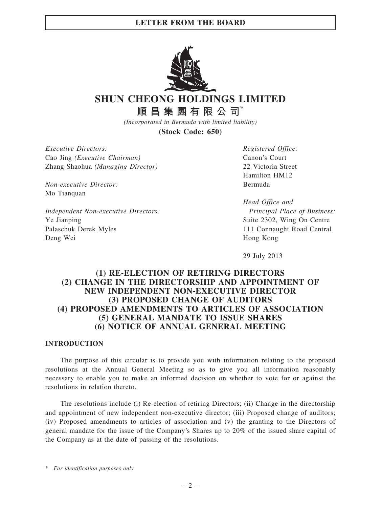

SHUN CHEONG HOLDINGS LIMITED

順昌集團有限公司\*

(Incorporated in Bermuda with limited liability)

(Stock Code: 650)

Executive Directors: Cao Jing (Executive Chairman) Zhang Shaohua (Managing Director)

Non-executive Director: Mo Tianquan

Independent Non-executive Directors: Ye Jianping Palaschuk Derek Myles Deng Wei

Registered Office: Canon's Court 22 Victoria Street Hamilton HM12 Bermuda

Head Office and Principal Place of Business: Suite 2302, Wing On Centre 111 Connaught Road Central Hong Kong

29 July 2013

## (1) RE-ELECTION OF RETIRING DIRECTORS (2) CHANGE IN THE DIRECTORSHIP AND APPOINTMENT OF NEW INDEPENDENT NON-EXECUTIVE DIRECTOR (3) PROPOSED CHANGE OF AUDITORS (4) PROPOSED AMENDMENTS TO ARTICLES OF ASSOCIATION (5) GENERAL MANDATE TO ISSUE SHARES (6) NOTICE OF ANNUAL GENERAL MEETING

## INTRODUCTION

The purpose of this circular is to provide you with information relating to the proposed resolutions at the Annual General Meeting so as to give you all information reasonably necessary to enable you to make an informed decision on whether to vote for or against the resolutions in relation thereto.

The resolutions include (i) Re-election of retiring Directors; (ii) Change in the directorship and appointment of new independent non-executive director; (iii) Proposed change of auditors; (iv) Proposed amendments to articles of association and (v) the granting to the Directors of general mandate for the issue of the Company's Shares up to 20% of the issued share capital of the Company as at the date of passing of the resolutions.

\* For identification purposes only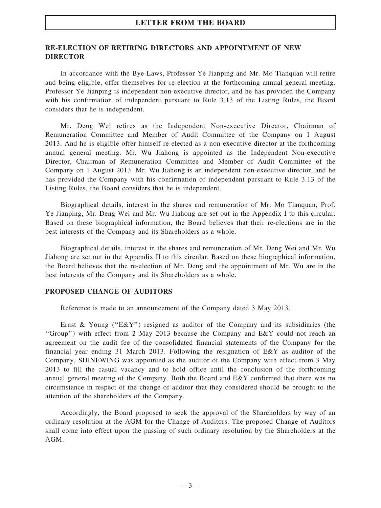## RE-ELECTION OF RETIRING DIRECTORS AND APPOINTMENT OF NEW DIRECTOR

In accordance with the Bye-Laws, Professor Ye Jianping and Mr. Mo Tianquan will retire and being eligible, offer themselves for re-election at the forthcoming annual general meeting. Professor Ye Jianping is independent non-executive director, and he has provided the Company with his confirmation of independent pursuant to Rule 3.13 of the Listing Rules, the Board considers that he is independent.

Mr. Deng Wei retires as the Independent Non-executive Director, Chairman of Remuneration Committee and Member of Audit Committee of the Company on 1 August 2013. And he is eligible offer himself re-elected as a non-executive director at the forthcoming annual general meeting. Mr. Wu Jiahong is appointed as the Independent Non-executive Director, Chairman of Remuneration Committee and Member of Audit Committee of the Company on 1 August 2013. Mr. Wu Jiahong is an independent non-executive director, and he has provided the Company with his confirmation of independent pursuant to Rule 3.13 of the Listing Rules, the Board considers that he is independent.

Biographical details, interest in the shares and remuneration of Mr. Mo Tianquan, Prof. Ye Jianping, Mr. Deng Wei and Mr. Wu Jiahong are set out in the Appendix I to this circular. Based on these biographical information, the Board believes that their re-elections are in the best interests of the Company and its Shareholders as a whole.

Biographical details, interest in the shares and remuneration of Mr. Deng Wei and Mr. Wu Jiahong are set out in the Appendix II to this circular. Based on these biographical information, the Board believes that the re-election of Mr. Deng and the appointment of Mr. Wu are in the best interests of the Company and its Shareholders as a whole.

### PROPOSED CHANGE OF AUDITORS

Reference is made to an announcement of the Company dated 3 May 2013.

Ernst & Young ("E&Y") resigned as auditor of the Company and its subsidiaries (the ''Group'') with effect from 2 May 2013 because the Company and E&Y could not reach an agreement on the audit fee of the consolidated financial statements of the Company for the financial year ending 31 March 2013. Following the resignation of E&Y as auditor of the Company, SHINEWING was appointed as the auditor of the Company with effect from 3 May 2013 to fill the casual vacancy and to hold office until the conclusion of the forthcoming annual general meeting of the Company. Both the Board and E&Y confirmed that there was no circumstance in respect of the change of auditor that they considered should be brought to the attention of the shareholders of the Company.

Accordingly, the Board proposed to seek the approval of the Shareholders by way of an ordinary resolution at the AGM for the Change of Auditors. The proposed Change of Auditors shall come into effect upon the passing of such ordinary resolution by the Shareholders at the AGM.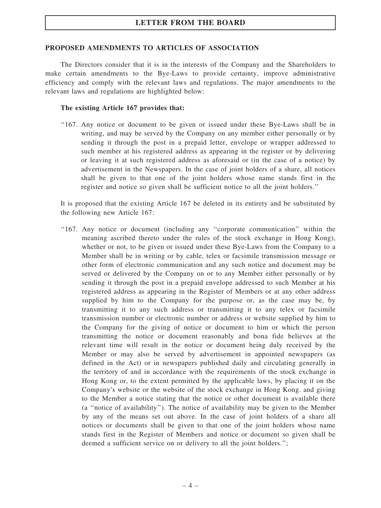### PROPOSED AMENDMENTS TO ARTICLES OF ASSOCIATION

The Directors consider that it is in the interests of the Company and the Shareholders to make certain amendments to the Bye-Laws to provide certainty, improve administrative efficiency and comply with the relevant laws and regulations. The major amendments to the relevant laws and regulations are highlighted below:

#### The existing Article 167 provides that:

''167. Any notice or document to be given or issued under these Bye-Laws shall be in writing, and may be served by the Company on any member either personally or by sending it through the post in a prepaid letter, envelope or wrapper addressed to such member at his registered address as appearing in the register or by delivering or leaving it at such registered address as aforesaid or (in the case of a notice) by advertisement in the Newspapers. In the case of joint holders of a share, all notices shall be given to that one of the joint holders whose name stands first in the register and notice so given shall be sufficient notice to all the joint holders.''

It is proposed that the existing Article 167 be deleted in its entirety and be substituted by the following new Article 167:

''167. Any notice or document (including any ''corporate communication'' within the meaning ascribed thereto under the rules of the stock exchange in Hong Kong), whether or not, to be given or issued under these Bye-Laws from the Company to a Member shall be in writing or by cable, telex or facsimile transmission message or other form of electronic communication and any such notice and document may be served or delivered by the Company on or to any Member either personally or by sending it through the post in a prepaid envelope addressed to such Member at his registered address as appearing in the Register of Members or at any other address supplied by him to the Company for the purpose or, as the case may be, by transmitting it to any such address or transmitting it to any telex or facsimile transmission number or electronic number or address or website supplied by him to the Company for the giving of notice or document to him or which the person transmitting the notice or document reasonably and bona fide believes at the relevant time will result in the notice or document being duly received by the Member or may also be served by advertisement in appointed newspapers (as defined in the Act) or in newspapers published daily and circulating generally in the territory of and in accordance with the requirements of the stock exchange in Hong Kong or, to the extent permitted by the applicable laws, by placing it on the Company's website or the website of the stock exchange in Hong Kong. and giving to the Member a notice stating that the notice or other document is available there (a ''notice of availability''). The notice of availability may be given to the Member by any of the means set out above. In the case of joint holders of a share all notices or documents shall be given to that one of the joint holders whose name stands first in the Register of Members and notice or document so given shall be deemed a sufficient service on or delivery to all the joint holders.'';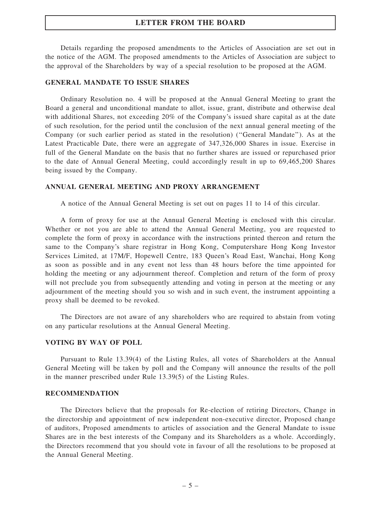Details regarding the proposed amendments to the Articles of Association are set out in the notice of the AGM. The proposed amendments to the Articles of Association are subject to the approval of the Shareholders by way of a special resolution to be proposed at the AGM.

#### GENERAL MANDATE TO ISSUE SHARES

Ordinary Resolution no. 4 will be proposed at the Annual General Meeting to grant the Board a general and unconditional mandate to allot, issue, grant, distribute and otherwise deal with additional Shares, not exceeding 20% of the Company's issued share capital as at the date of such resolution, for the period until the conclusion of the next annual general meeting of the Company (or such earlier period as stated in the resolution) (''General Mandate''). As at the Latest Practicable Date, there were an aggregate of 347,326,000 Shares in issue. Exercise in full of the General Mandate on the basis that no further shares are issued or repurchased prior to the date of Annual General Meeting, could accordingly result in up to 69,465,200 Shares being issued by the Company.

#### ANNUAL GENERAL MEETING AND PROXY ARRANGEMENT

A notice of the Annual General Meeting is set out on pages 11 to 14 of this circular.

A form of proxy for use at the Annual General Meeting is enclosed with this circular. Whether or not you are able to attend the Annual General Meeting, you are requested to complete the form of proxy in accordance with the instructions printed thereon and return the same to the Company's share registrar in Hong Kong, Computershare Hong Kong Investor Services Limited, at 17M/F, Hopewell Centre, 183 Queen's Road East, Wanchai, Hong Kong as soon as possible and in any event not less than 48 hours before the time appointed for holding the meeting or any adjournment thereof. Completion and return of the form of proxy will not preclude you from subsequently attending and voting in person at the meeting or any adjournment of the meeting should you so wish and in such event, the instrument appointing a proxy shall be deemed to be revoked.

The Directors are not aware of any shareholders who are required to abstain from voting on any particular resolutions at the Annual General Meeting.

#### VOTING BY WAY OF POLL

Pursuant to Rule 13.39(4) of the Listing Rules, all votes of Shareholders at the Annual General Meeting will be taken by poll and the Company will announce the results of the poll in the manner prescribed under Rule 13.39(5) of the Listing Rules.

#### RECOMMENDATION

The Directors believe that the proposals for Re-election of retiring Directors, Change in the directorship and appointment of new independent non-executive director, Proposed change of auditors, Proposed amendments to articles of association and the General Mandate to issue Shares are in the best interests of the Company and its Shareholders as a whole. Accordingly, the Directors recommend that you should vote in favour of all the resolutions to be proposed at the Annual General Meeting.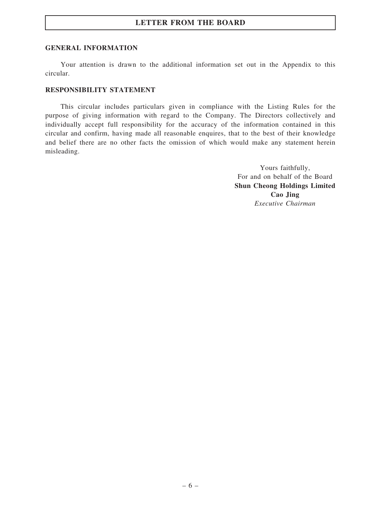#### GENERAL INFORMATION

Your attention is drawn to the additional information set out in the Appendix to this circular.

## RESPONSIBILITY STATEMENT

This circular includes particulars given in compliance with the Listing Rules for the purpose of giving information with regard to the Company. The Directors collectively and individually accept full responsibility for the accuracy of the information contained in this circular and confirm, having made all reasonable enquires, that to the best of their knowledge and belief there are no other facts the omission of which would make any statement herein misleading.

> Yours faithfully, For and on behalf of the Board Shun Cheong Holdings Limited Cao Jing Executive Chairman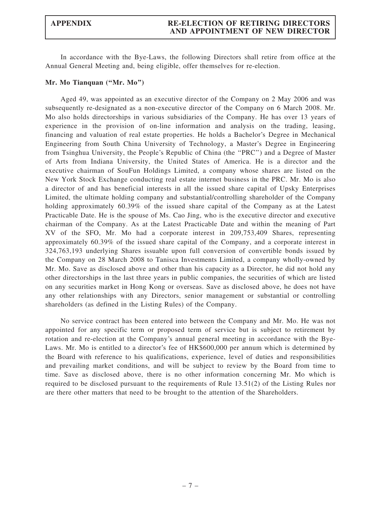## APPENDIX RE-ELECTION OF RETIRING DIRECTORS AND APPOINTMENT OF NEW DIRECTOR

In accordance with the Bye-Laws, the following Directors shall retire from office at the Annual General Meeting and, being eligible, offer themselves for re-election.

#### Mr. Mo Tianquan ("Mr. Mo")

Aged 49, was appointed as an executive director of the Company on 2 May 2006 and was subsequently re-designated as a non-executive director of the Company on 6 March 2008. Mr. Mo also holds directorships in various subsidiaries of the Company. He has over 13 years of experience in the provision of on-line information and analysis on the trading, leasing, financing and valuation of real estate properties. He holds a Bachelor's Degree in Mechanical Engineering from South China University of Technology, a Master's Degree in Engineering from Tsinghua University, the People's Republic of China (the ''PRC'') and a Degree of Master of Arts from Indiana University, the United States of America. He is a director and the executive chairman of SouFun Holdings Limited, a company whose shares are listed on the New York Stock Exchange conducting real estate internet business in the PRC. Mr. Mo is also a director of and has beneficial interests in all the issued share capital of Upsky Enterprises Limited, the ultimate holding company and substantial/controlling shareholder of the Company holding approximately 60.39% of the issued share capital of the Company as at the Latest Practicable Date. He is the spouse of Ms. Cao Jing, who is the executive director and executive chairman of the Company. As at the Latest Practicable Date and within the meaning of Part XV of the SFO, Mr. Mo had a corporate interest in 209,753,409 Shares, representing approximately 60.39% of the issued share capital of the Company, and a corporate interest in 324,763,193 underlying Shares issuable upon full conversion of convertible bonds issued by the Company on 28 March 2008 to Tanisca Investments Limited, a company wholly-owned by Mr. Mo. Save as disclosed above and other than his capacity as a Director, he did not hold any other directorships in the last three years in public companies, the securities of which are listed on any securities market in Hong Kong or overseas. Save as disclosed above, he does not have any other relationships with any Directors, senior management or substantial or controlling shareholders (as defined in the Listing Rules) of the Company.

No service contract has been entered into between the Company and Mr. Mo. He was not appointed for any specific term or proposed term of service but is subject to retirement by rotation and re-election at the Company's annual general meeting in accordance with the Bye-Laws. Mr. Mo is entitled to a director's fee of HK\$600,000 per annum which is determined by the Board with reference to his qualifications, experience, level of duties and responsibilities and prevailing market conditions, and will be subject to review by the Board from time to time. Save as disclosed above, there is no other information concerning Mr. Mo which is required to be disclosed pursuant to the requirements of Rule 13.51(2) of the Listing Rules nor are there other matters that need to be brought to the attention of the Shareholders.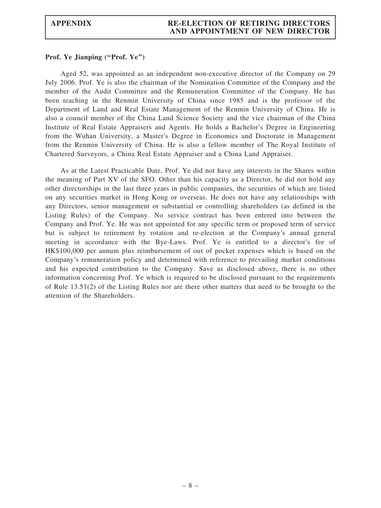### Prof. Ye Jianping ("Prof. Ye")

Aged 52, was appointed as an independent non-executive director of the Company on 29 July 2006. Prof. Ye is also the chairman of the Nomination Committee of the Company and the member of the Audit Committee and the Remuneration Committee of the Company. He has been teaching in the Renmin University of China since 1985 and is the professor of the Department of Land and Real Estate Management of the Renmin University of China. He is also a council member of the China Land Science Society and the vice chairman of the China Institute of Real Estate Appraisers and Agents. He holds a Bachelor's Degree in Engineering from the Wuhan University, a Master's Degree in Economics and Doctorate in Management from the Renmin University of China. He is also a fellow member of The Royal Institute of Chartered Surveyors, a China Real Estate Appraiser and a China Land Appraiser.

As at the Latest Practicable Date, Prof. Ye did not have any interests in the Shares within the meaning of Part XV of the SFO. Other than his capacity as a Director, he did not hold any other directorships in the last three years in public companies, the securities of which are listed on any securities market in Hong Kong or overseas. He does not have any relationships with any Directors, senior management or substantial or controlling shareholders (as defined in the Listing Rules) of the Company. No service contract has been entered into between the Company and Prof. Ye. He was not appointed for any specific term or proposed term of service but is subject to retirement by rotation and re-election at the Company's annual general meeting in accordance with the Bye-Laws. Prof. Ye is entitled to a director's fee of HK\$100,000 per annum plus reimbursement of out of pocket expenses which is based on the Company's remuneration policy and determined with reference to prevailing market conditions and his expected contribution to the Company. Save as disclosed above, there is no other information concerning Prof. Ye which is required to be disclosed pursuant to the requirements of Rule 13.51(2) of the Listing Rules nor are there other matters that need to be brought to the attention of the Shareholders.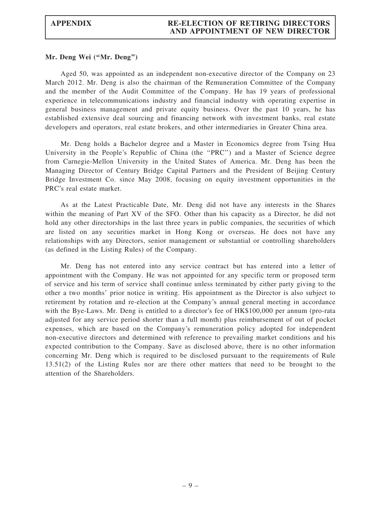#### Mr. Deng Wei (''Mr. Deng'')

Aged 50, was appointed as an independent non-executive director of the Company on 23 March 2012. Mr. Deng is also the chairman of the Remuneration Committee of the Company and the member of the Audit Committee of the Company. He has 19 years of professional experience in telecommunications industry and financial industry with operating expertise in general business management and private equity business. Over the past 10 years, he has established extensive deal sourcing and financing network with investment banks, real estate developers and operators, real estate brokers, and other intermediaries in Greater China area.

Mr. Deng holds a Bachelor degree and a Master in Economics degree from Tsing Hua University in the People's Republic of China (the ''PRC'') and a Master of Science degree from Carnegie-Mellon University in the United States of America. Mr. Deng has been the Managing Director of Century Bridge Capital Partners and the President of Beijing Century Bridge Investment Co. since May 2008, focusing on equity investment opportunities in the PRC's real estate market.

As at the Latest Practicable Date, Mr. Deng did not have any interests in the Shares within the meaning of Part XV of the SFO. Other than his capacity as a Director, he did not hold any other directorships in the last three years in public companies, the securities of which are listed on any securities market in Hong Kong or overseas. He does not have any relationships with any Directors, senior management or substantial or controlling shareholders (as defined in the Listing Rules) of the Company.

Mr. Deng has not entered into any service contract but has entered into a letter of appointment with the Company. He was not appointed for any specific term or proposed term of service and his term of service shall continue unless terminated by either party giving to the other a two months' prior notice in writing. His appointment as the Director is also subject to retirement by rotation and re-election at the Company's annual general meeting in accordance with the Bye-Laws. Mr. Deng is entitled to a director's fee of HK\$100,000 per annum (pro-rata adjusted for any service period shorter than a full month) plus reimbursement of out of pocket expenses, which are based on the Company's remuneration policy adopted for independent non-executive directors and determined with reference to prevailing market conditions and his expected contribution to the Company. Save as disclosed above, there is no other information concerning Mr. Deng which is required to be disclosed pursuant to the requirements of Rule 13.51(2) of the Listing Rules nor are there other matters that need to be brought to the attention of the Shareholders.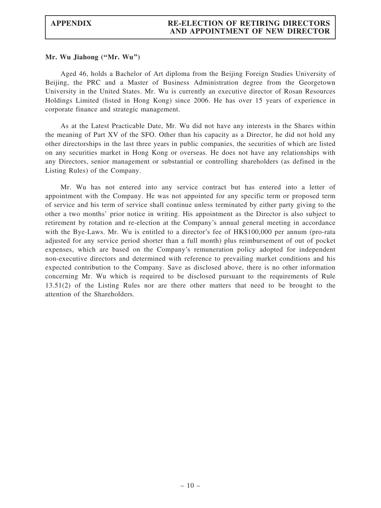#### Mr. Wu Jiahong (''Mr. Wu'')

Aged 46, holds a Bachelor of Art diploma from the Beijing Foreign Studies University of Beijing, the PRC and a Master of Business Administration degree from the Georgetown University in the United States. Mr. Wu is currently an executive director of Rosan Resources Holdings Limited (listed in Hong Kong) since 2006. He has over 15 years of experience in corporate finance and strategic management.

As at the Latest Practicable Date, Mr. Wu did not have any interests in the Shares within the meaning of Part XV of the SFO. Other than his capacity as a Director, he did not hold any other directorships in the last three years in public companies, the securities of which are listed on any securities market in Hong Kong or overseas. He does not have any relationships with any Directors, senior management or substantial or controlling shareholders (as defined in the Listing Rules) of the Company.

Mr. Wu has not entered into any service contract but has entered into a letter of appointment with the Company. He was not appointed for any specific term or proposed term of service and his term of service shall continue unless terminated by either party giving to the other a two months' prior notice in writing. His appointment as the Director is also subject to retirement by rotation and re-election at the Company's annual general meeting in accordance with the Bye-Laws. Mr. Wu is entitled to a director's fee of HK\$100,000 per annum (pro-rata adjusted for any service period shorter than a full month) plus reimbursement of out of pocket expenses, which are based on the Company's remuneration policy adopted for independent non-executive directors and determined with reference to prevailing market conditions and his expected contribution to the Company. Save as disclosed above, there is no other information concerning Mr. Wu which is required to be disclosed pursuant to the requirements of Rule 13.51(2) of the Listing Rules nor are there other matters that need to be brought to the attention of the Shareholders.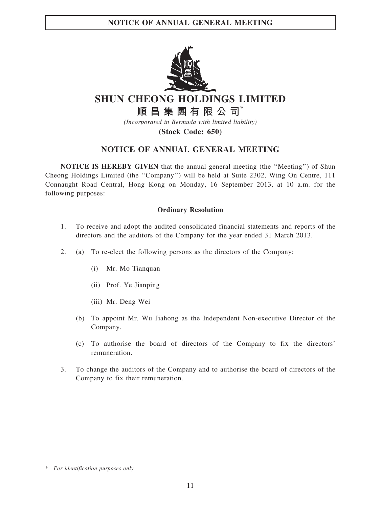

SHUN CHEONG HOLDINGS LIMITED

順昌集團有限公司\*

(Incorporated in Bermuda with limited liability)

(Stock Code: 650)

## NOTICE OF ANNUAL GENERAL MEETING

NOTICE IS HEREBY GIVEN that the annual general meeting (the ''Meeting'') of Shun Cheong Holdings Limited (the ''Company'') will be held at Suite 2302, Wing On Centre, 111 Connaught Road Central, Hong Kong on Monday, 16 September 2013, at 10 a.m. for the following purposes:

## Ordinary Resolution

- 1. To receive and adopt the audited consolidated financial statements and reports of the directors and the auditors of the Company for the year ended 31 March 2013.
- 2. (a) To re-elect the following persons as the directors of the Company:
	- (i) Mr. Mo Tianquan
	- (ii) Prof. Ye Jianping
	- (iii) Mr. Deng Wei
	- (b) To appoint Mr. Wu Jiahong as the Independent Non-executive Director of the Company.
	- (c) To authorise the board of directors of the Company to fix the directors' remuneration.
- 3. To change the auditors of the Company and to authorise the board of directors of the Company to fix their remuneration.

<sup>\*</sup> For identification purposes only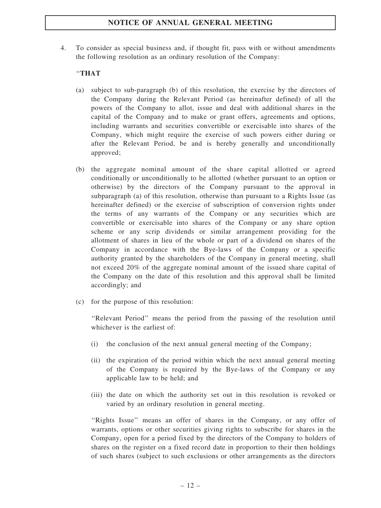## NOTICE OF ANNUAL GENERAL MEETING

4. To consider as special business and, if thought fit, pass with or without amendments the following resolution as an ordinary resolution of the Company:

## ''THAT

- (a) subject to sub-paragraph (b) of this resolution, the exercise by the directors of the Company during the Relevant Period (as hereinafter defined) of all the powers of the Company to allot, issue and deal with additional shares in the capital of the Company and to make or grant offers, agreements and options, including warrants and securities convertible or exercisable into shares of the Company, which might require the exercise of such powers either during or after the Relevant Period, be and is hereby generally and unconditionally approved;
- (b) the aggregate nominal amount of the share capital allotted or agreed conditionally or unconditionally to be allotted (whether pursuant to an option or otherwise) by the directors of the Company pursuant to the approval in subparagraph (a) of this resolution, otherwise than pursuant to a Rights Issue (as hereinafter defined) or the exercise of subscription of conversion rights under the terms of any warrants of the Company or any securities which are convertible or exercisable into shares of the Company or any share option scheme or any scrip dividends or similar arrangement providing for the allotment of shares in lieu of the whole or part of a dividend on shares of the Company in accordance with the Bye-laws of the Company or a specific authority granted by the shareholders of the Company in general meeting, shall not exceed 20% of the aggregate nominal amount of the issued share capital of the Company on the date of this resolution and this approval shall be limited accordingly; and
- (c) for the purpose of this resolution:

''Relevant Period'' means the period from the passing of the resolution until whichever is the earliest of:

- (i) the conclusion of the next annual general meeting of the Company;
- (ii) the expiration of the period within which the next annual general meeting of the Company is required by the Bye-laws of the Company or any applicable law to be held; and
- (iii) the date on which the authority set out in this resolution is revoked or varied by an ordinary resolution in general meeting.

''Rights Issue'' means an offer of shares in the Company, or any offer of warrants, options or other securities giving rights to subscribe for shares in the Company, open for a period fixed by the directors of the Company to holders of shares on the register on a fixed record date in proportion to their then holdings of such shares (subject to such exclusions or other arrangements as the directors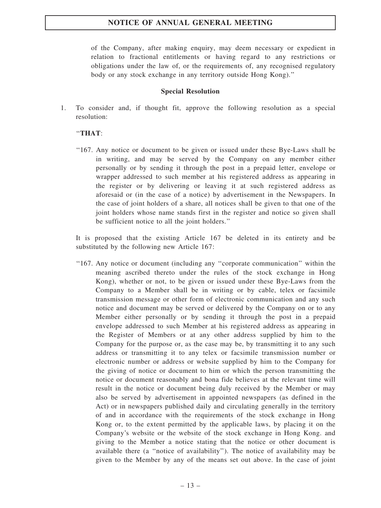## NOTICE OF ANNUAL GENERAL MEETING

of the Company, after making enquiry, may deem necessary or expedient in relation to fractional entitlements or having regard to any restrictions or obligations under the law of, or the requirements of, any recognised regulatory body or any stock exchange in any territory outside Hong Kong).''

#### Special Resolution

1. To consider and, if thought fit, approve the following resolution as a special resolution:

## ''THAT:

''167. Any notice or document to be given or issued under these Bye-Laws shall be in writing, and may be served by the Company on any member either personally or by sending it through the post in a prepaid letter, envelope or wrapper addressed to such member at his registered address as appearing in the register or by delivering or leaving it at such registered address as aforesaid or (in the case of a notice) by advertisement in the Newspapers. In the case of joint holders of a share, all notices shall be given to that one of the joint holders whose name stands first in the register and notice so given shall be sufficient notice to all the joint holders.''

It is proposed that the existing Article 167 be deleted in its entirety and be substituted by the following new Article 167:

''167. Any notice or document (including any ''corporate communication'' within the meaning ascribed thereto under the rules of the stock exchange in Hong Kong), whether or not, to be given or issued under these Bye-Laws from the Company to a Member shall be in writing or by cable, telex or facsimile transmission message or other form of electronic communication and any such notice and document may be served or delivered by the Company on or to any Member either personally or by sending it through the post in a prepaid envelope addressed to such Member at his registered address as appearing in the Register of Members or at any other address supplied by him to the Company for the purpose or, as the case may be, by transmitting it to any such address or transmitting it to any telex or facsimile transmission number or electronic number or address or website supplied by him to the Company for the giving of notice or document to him or which the person transmitting the notice or document reasonably and bona fide believes at the relevant time will result in the notice or document being duly received by the Member or may also be served by advertisement in appointed newspapers (as defined in the Act) or in newspapers published daily and circulating generally in the territory of and in accordance with the requirements of the stock exchange in Hong Kong or, to the extent permitted by the applicable laws, by placing it on the Company's website or the website of the stock exchange in Hong Kong. and giving to the Member a notice stating that the notice or other document is available there (a ''notice of availability''). The notice of availability may be given to the Member by any of the means set out above. In the case of joint